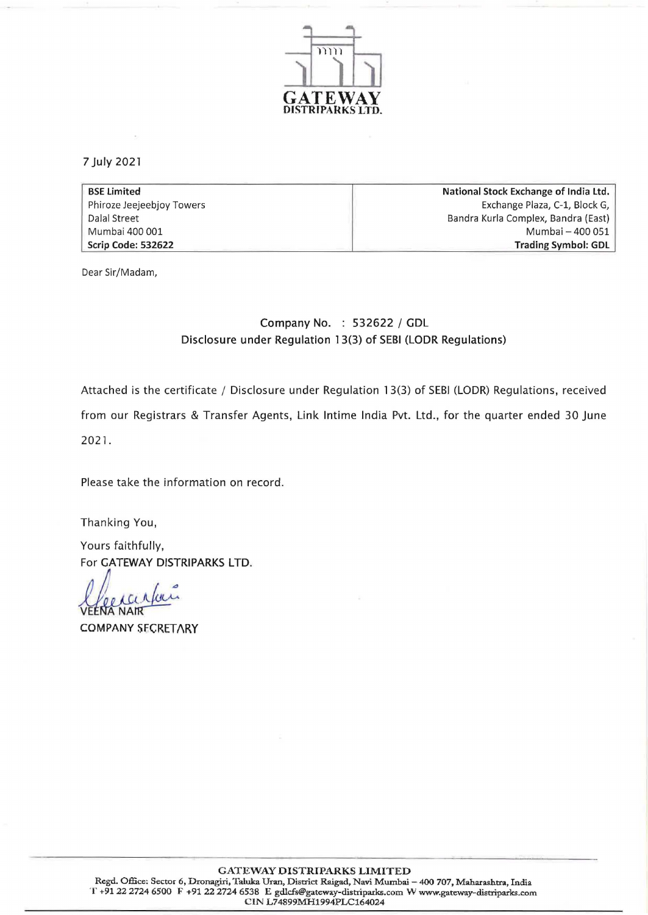

7 July 2021

| <b>BSE Limited</b>        | National Stock Exchange of India Ltd. |  |
|---------------------------|---------------------------------------|--|
| Phiroze Jeejeebjoy Towers | Exchange Plaza, C-1, Block G,         |  |
| Dalal Street              | Bandra Kurla Complex, Bandra (East)   |  |
| Mumbai 400 001            | Mumbai - 400 051                      |  |
| Scrip Code: 532622        | Trading Symbol: GDL                   |  |

Dear Sir/Madam,

## Company No. : 532622 / GDL Disclosure under Regulation 13(3) of SEBI (LODR Regulations)

Attached is the certificate / Disclosure under Regulation 13(3) of SEBI (LODR) Regulations, received from our Registrars & Transfer Agents, Link Intime India Pvt. Ltd., for the quarter ended 30 June 2021.

Please take the information on record.

Thanking You,

Yours faithfully, For GATEWAY DISTRIPARKS LTD.

X POULO A COMPANY<br>VEENA NAIR<br>COMPANY SECRETARY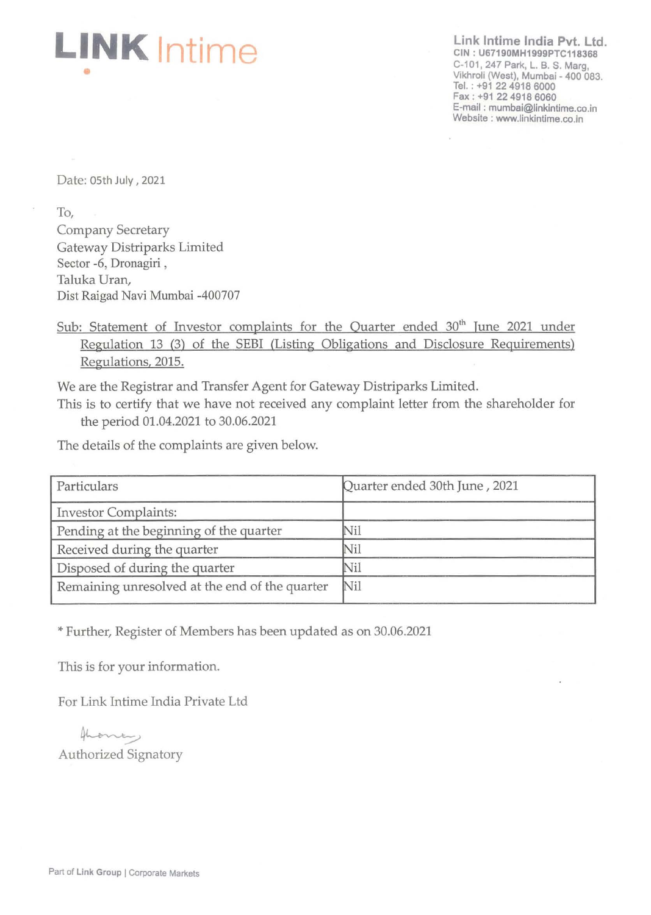

**Link Intime India Pvt. Ltd. CIN : U67190MH1999PTC118368**  C-101, 247 Park, L. B. S. Marg, Vikhroli (West), Mumbai - 400 083. Tel. : +91 22 4918 6000 Fax: +91 22 4918 6060 E·mail: mumbai@linkintime.co.in Website: www.linkintime.co.in

Date: 05th July, 2021

To,

Company Secretary Gateway Distriparks Limited Sector -6, Dronagiri , Taluka Uran, Dist Raigad Navi Mumbai -400707

Sub: Statement of Investor complaints for the Quarter ended  $30<sup>th</sup>$  June 2021 under Regulation 13 (3) of the SEBI (Listing Obligations and Disclosure Requirements) Regulations, 2015.

We are the Registrar and Transfer Agent for Gateway Distriparks Limited.

This is to certify that we have not received any complaint letter from the shareholder for the period 01.04.2021 to 30.06.2021

The details of the complaints are given below.

| Particulars                                    | Quarter ended 30th June, 2021 |  |
|------------------------------------------------|-------------------------------|--|
| <b>Investor Complaints:</b>                    |                               |  |
| Pending at the beginning of the quarter        | Nil                           |  |
| Received during the quarter                    | Nil                           |  |
| Disposed of during the quarter                 | Nil                           |  |
| Remaining unresolved at the end of the quarter | Nil                           |  |

\* Further, Register of Members has been updated as on 30.06.2021

This is for your information.

For Link Intime India Private Ltd

For Link Intime India Pri<br>برسمه<br>Authorized Signatory